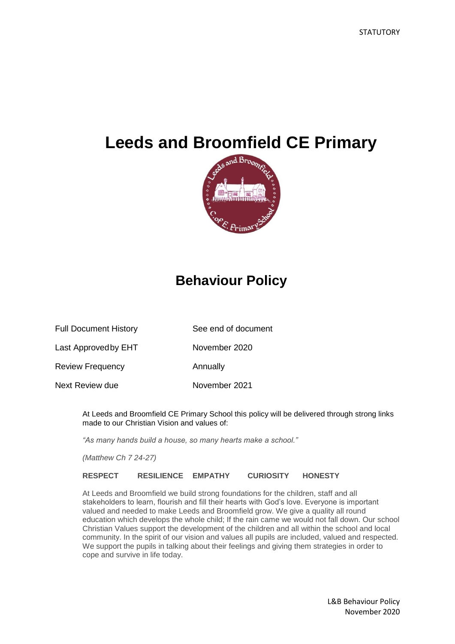# **Leeds and Broomfield CE Primary**



# **Behaviour Policy**

| <b>Full Document History</b> | See end of document |
|------------------------------|---------------------|
|                              |                     |

Last Approved by EHT November 2020

Review Frequency **Annually** 

Next Review due November 2021

At Leeds and Broomfield CE Primary School this policy will be delivered through strong links made to our Christian Vision and values of:

*"As many hands build a house, so many hearts make a school."*

*(Matthew Ch 7 24-27)*

**RESPECT RESILIENCE EMPATHY CURIOSITY HONESTY**

At Leeds and Broomfield we build strong foundations for the children, staff and all stakeholders to learn, flourish and fill their hearts with God's love. Everyone is important valued and needed to make Leeds and Broomfield grow. We give a quality all round education which develops the whole child; If the rain came we would not fall down. Our school Christian Values support the development of the children and all within the school and local community. In the spirit of our vision and values all pupils are included, valued and respected. We support the pupils in talking about their feelings and giving them strategies in order to cope and survive in life today.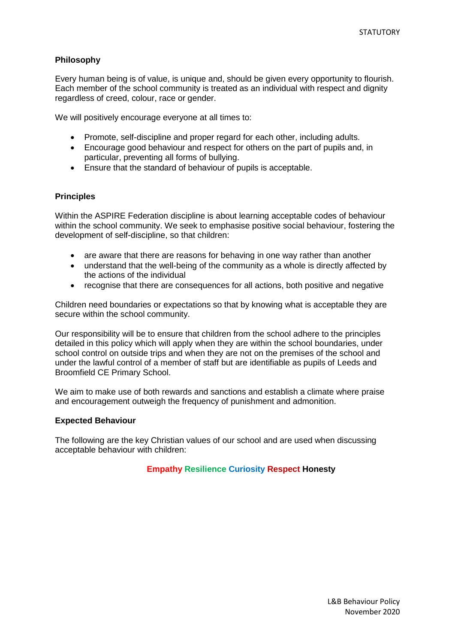## **Philosophy**

Every human being is of value, is unique and, should be given every opportunity to flourish. Each member of the school community is treated as an individual with respect and dignity regardless of creed, colour, race or gender.

We will positively encourage everyone at all times to:

- Promote, self-discipline and proper regard for each other, including adults.
- Encourage good behaviour and respect for others on the part of pupils and, in particular, preventing all forms of bullying.
- Ensure that the standard of behaviour of pupils is acceptable.

## **Principles**

Within the ASPIRE Federation discipline is about learning acceptable codes of behaviour within the school community. We seek to emphasise positive social behaviour, fostering the development of self-discipline, so that children:

- are aware that there are reasons for behaving in one way rather than another
- understand that the well-being of the community as a whole is directly affected by the actions of the individual
- recognise that there are consequences for all actions, both positive and negative

Children need boundaries or expectations so that by knowing what is acceptable they are secure within the school community.

Our responsibility will be to ensure that children from the school adhere to the principles detailed in this policy which will apply when they are within the school boundaries, under school control on outside trips and when they are not on the premises of the school and under the lawful control of a member of staff but are identifiable as pupils of Leeds and Broomfield CE Primary School.

We aim to make use of both rewards and sanctions and establish a climate where praise and encouragement outweigh the frequency of punishment and admonition.

#### **Expected Behaviour**

The following are the key Christian values of our school and are used when discussing acceptable behaviour with children:

## **Empathy Resilience Curiosity Respect Honesty**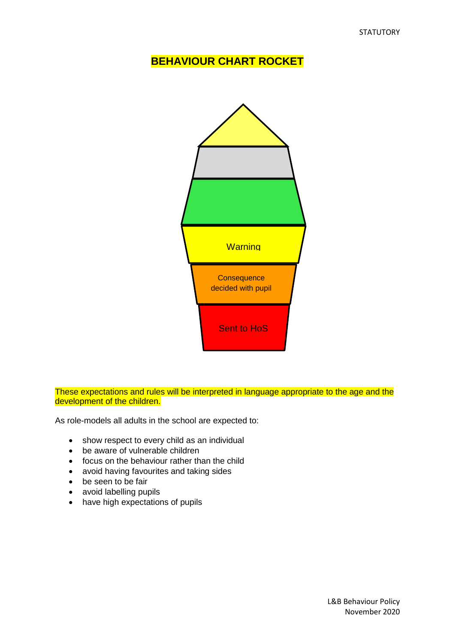## **BEHAVIOUR CHART ROCKET**



These expectations and rules will be interpreted in language appropriate to the age and the development of the children.

As role-models all adults in the school are expected to:

- show respect to every child as an individual
- be aware of vulnerable children
- focus on the behaviour rather than the child
- avoid having favourites and taking sides
- be seen to be fair
- avoid labelling pupils
- have high expectations of pupils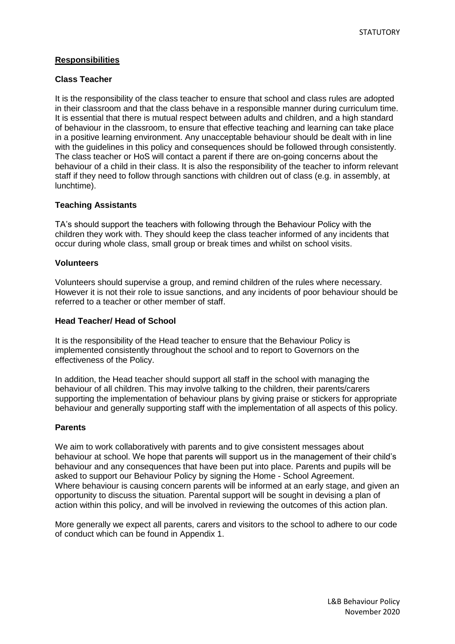## **Responsibilities**

## **Class Teacher**

It is the responsibility of the class teacher to ensure that school and class rules are adopted in their classroom and that the class behave in a responsible manner during curriculum time. It is essential that there is mutual respect between adults and children, and a high standard of behaviour in the classroom, to ensure that effective teaching and learning can take place in a positive learning environment. Any unacceptable behaviour should be dealt with in line with the guidelines in this policy and consequences should be followed through consistently. The class teacher or HoS will contact a parent if there are on-going concerns about the behaviour of a child in their class. It is also the responsibility of the teacher to inform relevant staff if they need to follow through sanctions with children out of class (e.g. in assembly, at lunchtime).

## **Teaching Assistants**

TA's should support the teachers with following through the Behaviour Policy with the children they work with. They should keep the class teacher informed of any incidents that occur during whole class, small group or break times and whilst on school visits.

#### **Volunteers**

Volunteers should supervise a group, and remind children of the rules where necessary. However it is not their role to issue sanctions, and any incidents of poor behaviour should be referred to a teacher or other member of staff.

## **Head Teacher/ Head of School**

It is the responsibility of the Head teacher to ensure that the Behaviour Policy is implemented consistently throughout the school and to report to Governors on the effectiveness of the Policy.

In addition, the Head teacher should support all staff in the school with managing the behaviour of all children. This may involve talking to the children, their parents/carers supporting the implementation of behaviour plans by giving praise or stickers for appropriate behaviour and generally supporting staff with the implementation of all aspects of this policy.

## **Parents**

We aim to work collaboratively with parents and to give consistent messages about behaviour at school. We hope that parents will support us in the management of their child's behaviour and any consequences that have been put into place. Parents and pupils will be asked to support our Behaviour Policy by signing the Home - School Agreement. Where behaviour is causing concern parents will be informed at an early stage, and given an opportunity to discuss the situation. Parental support will be sought in devising a plan of action within this policy, and will be involved in reviewing the outcomes of this action plan.

More generally we expect all parents, carers and visitors to the school to adhere to our code of conduct which can be found in Appendix 1.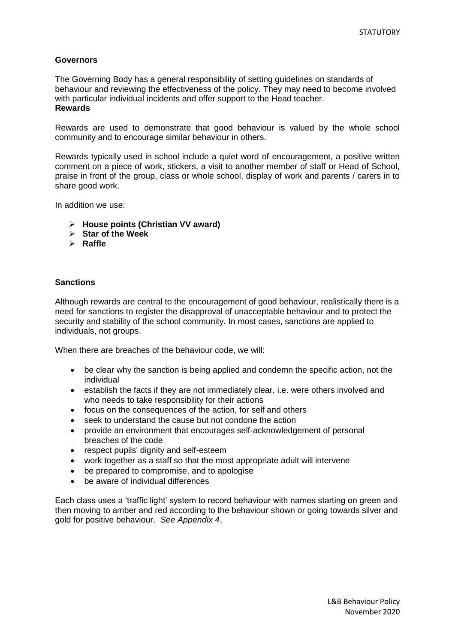## **Governors**

The Governing Body has a general responsibility of setting guidelines on standards of behaviour and reviewing the effectiveness of the policy. They may need to become involved with particular individual incidents and offer support to the Head teacher. **Rewards**

Rewards are used to demonstrate that good behaviour is valued by the whole school community and to encourage similar behaviour in others.

Rewards typically used in school include a quiet word of encouragement, a positive written comment on a piece of work, stickers, a visit to another member of staff or Head of School, praise in front of the group, class or whole school, display of work and parents / carers in to share good work.

In addition we use:

- **House points (Christian VV award)**
- **Star of the Week**
- **Raffle**

## **Sanctions**

Although rewards are central to the encouragement of good behaviour, realistically there is a need for sanctions to register the disapproval of unacceptable behaviour and to protect the security and stability of the school community. In most cases, sanctions are applied to individuals, not groups.

When there are breaches of the behaviour code, we will:

- be clear why the sanction is being applied and condemn the specific action, not the individual
- establish the facts if they are not immediately clear, i.e. were others involved and who needs to take responsibility for their actions
- focus on the consequences of the action, for self and others
- seek to understand the cause but not condone the action
- provide an environment that encourages self-acknowledgement of personal breaches of the code
- respect pupils' dignity and self-esteem
- work together as a staff so that the most appropriate adult will intervene
- be prepared to compromise, and to apologise
- be aware of individual differences

Each class uses a 'traffic light' system to record behaviour with names starting on green and then moving to amber and red according to the behaviour shown or going towards silver and gold for positive behaviour. *See Appendix 4*.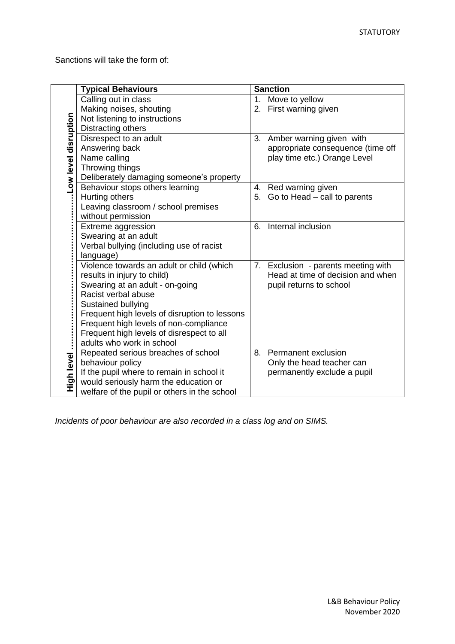Sanctions will take the form of:

|                      | <b>Typical Behaviours</b>                     |    | <b>Sanction</b>                   |
|----------------------|-----------------------------------------------|----|-----------------------------------|
| Low level disruption | Calling out in class                          | 1. | Move to yellow                    |
|                      | Making noises, shouting                       | 2. | First warning given               |
|                      | Not listening to instructions                 |    |                                   |
|                      | Distracting others                            |    |                                   |
|                      | Disrespect to an adult                        | 3. | Amber warning given with          |
|                      | Answering back                                |    | appropriate consequence (time off |
|                      | Name calling                                  |    | play time etc.) Orange Level      |
|                      | Throwing things                               |    |                                   |
|                      | Deliberately damaging someone's property      |    |                                   |
|                      | Behaviour stops others learning               | 4. | Red warning given                 |
|                      | Hurting others                                |    | 5. Go to Head - call to parents   |
|                      | Leaving classroom / school premises           |    |                                   |
|                      | without permission                            |    |                                   |
|                      | Extreme aggression                            | 6. | Internal inclusion                |
|                      | Swearing at an adult                          |    |                                   |
|                      | Verbal bullying (including use of racist      |    |                                   |
|                      | language)                                     |    |                                   |
|                      | Violence towards an adult or child (which     | 7. | Exclusion - parents meeting with  |
|                      | results in injury to child)                   |    | Head at time of decision and when |
|                      | Swearing at an adult - on-going               |    | pupil returns to school           |
|                      | Racist verbal abuse                           |    |                                   |
|                      | Sustained bullying                            |    |                                   |
|                      | Frequent high levels of disruption to lessons |    |                                   |
|                      | Frequent high levels of non-compliance        |    |                                   |
|                      | Frequent high levels of disrespect to all     |    |                                   |
|                      | adults who work in school                     |    |                                   |
|                      | Repeated serious breaches of school           | 8. | Permanent exclusion               |
| High level           | behaviour policy                              |    | Only the head teacher can         |
|                      | If the pupil where to remain in school it     |    | permanently exclude a pupil       |
|                      | would seriously harm the education or         |    |                                   |
|                      | welfare of the pupil or others in the school  |    |                                   |

*Incidents of poor behaviour are also recorded in a class log and on SIMS.*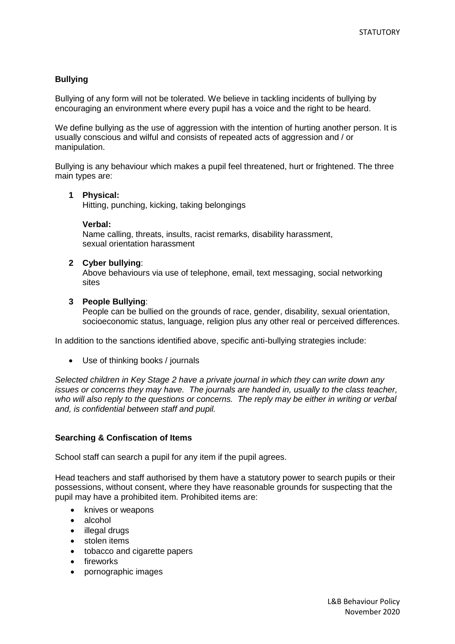## **Bullying**

Bullying of any form will not be tolerated. We believe in tackling incidents of bullying by encouraging an environment where every pupil has a voice and the right to be heard.

We define bullying as the use of aggression with the intention of hurting another person. It is usually conscious and wilful and consists of repeated acts of aggression and / or manipulation.

Bullying is any behaviour which makes a pupil feel threatened, hurt or frightened. The three main types are:

#### **1 Physical:**

Hitting, punching, kicking, taking belongings

#### **Verbal:**

Name calling, threats, insults, racist remarks, disability harassment, sexual orientation harassment

#### **2 Cyber bullying**:

Above behaviours via use of telephone, email, text messaging, social networking sites

#### **3 People Bullying**:

People can be bullied on the grounds of race, gender, disability, sexual orientation, socioeconomic status, language, religion plus any other real or perceived differences.

In addition to the sanctions identified above, specific anti-bullying strategies include:

Use of thinking books / journals

*Selected children in Key Stage 2 have a private journal in which they can write down any issues or concerns they may have. The journals are handed in, usually to the class teacher, who will also reply to the questions or concerns. The reply may be either in writing or verbal and, is confidential between staff and pupil.*

#### **Searching & Confiscation of Items**

School staff can search a pupil for any item if the pupil agrees.

Head teachers and staff authorised by them have a statutory power to search pupils or their possessions, without consent, where they have reasonable grounds for suspecting that the pupil may have a prohibited item. Prohibited items are:

- knives or weapons
- alcohol
- illegal drugs
- stolen items
- tobacco and cigarette papers
- fireworks
- pornographic images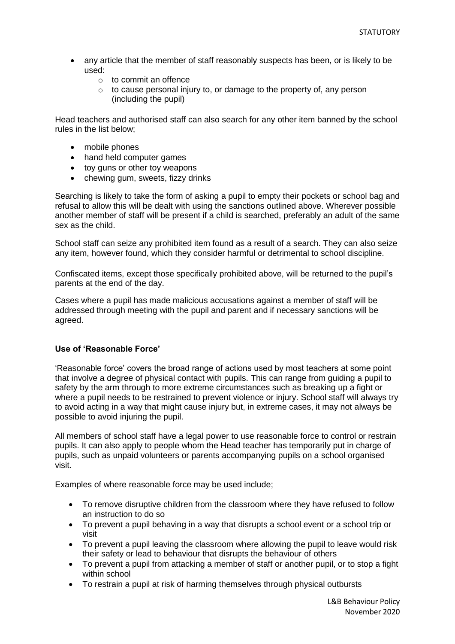- any article that the member of staff reasonably suspects has been, or is likely to be used:
	- o to commit an offence
	- $\circ$  to cause personal injury to, or damage to the property of, any person (including the pupil)

Head teachers and authorised staff can also search for any other item banned by the school rules in the list below;

- mobile phones
- hand held computer games
- toy guns or other toy weapons
- chewing gum, sweets, fizzy drinks

Searching is likely to take the form of asking a pupil to empty their pockets or school bag and refusal to allow this will be dealt with using the sanctions outlined above. Wherever possible another member of staff will be present if a child is searched, preferably an adult of the same sex as the child.

School staff can seize any prohibited item found as a result of a search. They can also seize any item, however found, which they consider harmful or detrimental to school discipline.

Confiscated items, except those specifically prohibited above, will be returned to the pupil's parents at the end of the day.

Cases where a pupil has made malicious accusations against a member of staff will be addressed through meeting with the pupil and parent and if necessary sanctions will be agreed.

#### **Use of 'Reasonable Force'**

'Reasonable force' covers the broad range of actions used by most teachers at some point that involve a degree of physical contact with pupils. This can range from guiding a pupil to safety by the arm through to more extreme circumstances such as breaking up a fight or where a pupil needs to be restrained to prevent violence or injury. School staff will always try to avoid acting in a way that might cause injury but, in extreme cases, it may not always be possible to avoid injuring the pupil.

All members of school staff have a legal power to use reasonable force to control or restrain pupils. It can also apply to people whom the Head teacher has temporarily put in charge of pupils, such as unpaid volunteers or parents accompanying pupils on a school organised visit.

Examples of where reasonable force may be used include;

- To remove disruptive children from the classroom where they have refused to follow an instruction to do so
- To prevent a pupil behaving in a way that disrupts a school event or a school trip or visit
- To prevent a pupil leaving the classroom where allowing the pupil to leave would risk their safety or lead to behaviour that disrupts the behaviour of others
- To prevent a pupil from attacking a member of staff or another pupil, or to stop a fight within school
- To restrain a pupil at risk of harming themselves through physical outbursts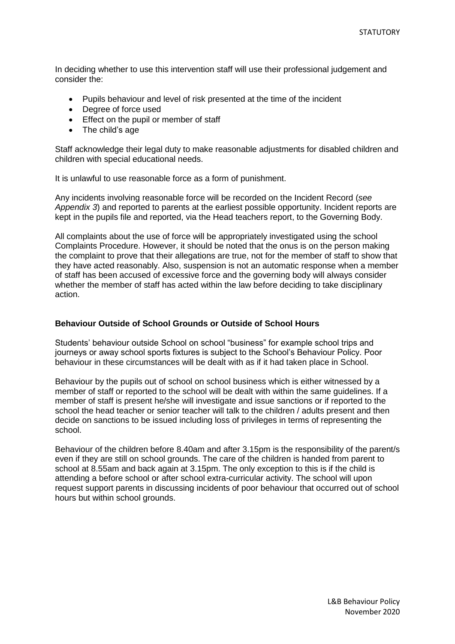In deciding whether to use this intervention staff will use their professional judgement and consider the:

- Pupils behaviour and level of risk presented at the time of the incident
- Degree of force used
- **Effect on the pupil or member of staff**
- The child's age

Staff acknowledge their legal duty to make reasonable adjustments for disabled children and children with special educational needs.

It is unlawful to use reasonable force as a form of punishment.

Any incidents involving reasonable force will be recorded on the Incident Record (*see Appendix 3*) and reported to parents at the earliest possible opportunity. Incident reports are kept in the pupils file and reported, via the Head teachers report, to the Governing Body.

All complaints about the use of force will be appropriately investigated using the school Complaints Procedure. However, it should be noted that the onus is on the person making the complaint to prove that their allegations are true, not for the member of staff to show that they have acted reasonably. Also, suspension is not an automatic response when a member of staff has been accused of excessive force and the governing body will always consider whether the member of staff has acted within the law before deciding to take disciplinary action.

#### **Behaviour Outside of School Grounds or Outside of School Hours**

Students' behaviour outside School on school "business" for example school trips and journeys or away school sports fixtures is subject to the School's Behaviour Policy. Poor behaviour in these circumstances will be dealt with as if it had taken place in School.

Behaviour by the pupils out of school on school business which is either witnessed by a member of staff or reported to the school will be dealt with within the same guidelines. If a member of staff is present he/she will investigate and issue sanctions or if reported to the school the head teacher or senior teacher will talk to the children / adults present and then decide on sanctions to be issued including loss of privileges in terms of representing the school.

Behaviour of the children before 8.40am and after 3.15pm is the responsibility of the parent/s even if they are still on school grounds. The care of the children is handed from parent to school at 8.55am and back again at 3.15pm. The only exception to this is if the child is attending a before school or after school extra-curricular activity. The school will upon request support parents in discussing incidents of poor behaviour that occurred out of school hours but within school grounds.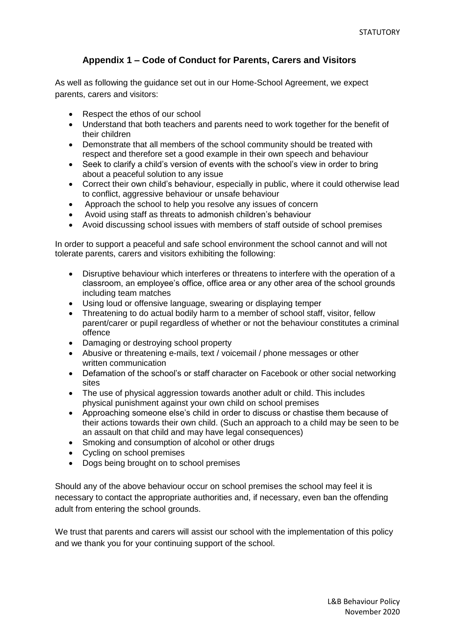## **Appendix 1 – Code of Conduct for Parents, Carers and Visitors**

As well as following the guidance set out in our Home-School Agreement, we expect parents, carers and visitors:

- Respect the ethos of our school
- Understand that both teachers and parents need to work together for the benefit of their children
- Demonstrate that all members of the school community should be treated with respect and therefore set a good example in their own speech and behaviour
- Seek to clarify a child's version of events with the school's view in order to bring about a peaceful solution to any issue
- Correct their own child's behaviour, especially in public, where it could otherwise lead to conflict, aggressive behaviour or unsafe behaviour
- Approach the school to help you resolve any issues of concern
- Avoid using staff as threats to admonish children's behaviour
- Avoid discussing school issues with members of staff outside of school premises

In order to support a peaceful and safe school environment the school cannot and will not tolerate parents, carers and visitors exhibiting the following:

- Disruptive behaviour which interferes or threatens to interfere with the operation of a classroom, an employee's office, office area or any other area of the school grounds including team matches
- Using loud or offensive language, swearing or displaying temper
- Threatening to do actual bodily harm to a member of school staff, visitor, fellow parent/carer or pupil regardless of whether or not the behaviour constitutes a criminal offence
- Damaging or destroving school property
- Abusive or threatening e-mails, text / voicemail / phone messages or other written communication
- Defamation of the school's or staff character on Facebook or other social networking sites
- The use of physical aggression towards another adult or child. This includes physical punishment against your own child on school premises
- Approaching someone else's child in order to discuss or chastise them because of their actions towards their own child. (Such an approach to a child may be seen to be an assault on that child and may have legal consequences)
- Smoking and consumption of alcohol or other drugs
- Cycling on school premises
- Dogs being brought on to school premises

Should any of the above behaviour occur on school premises the school may feel it is necessary to contact the appropriate authorities and, if necessary, even ban the offending adult from entering the school grounds.

We trust that parents and carers will assist our school with the implementation of this policy and we thank you for your continuing support of the school.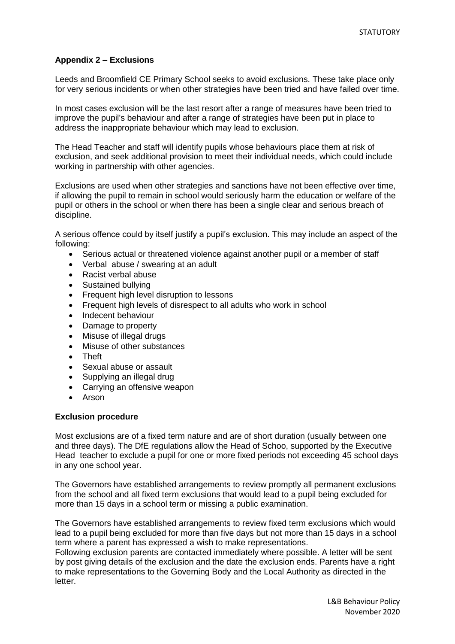## **Appendix 2 – Exclusions**

Leeds and Broomfield CE Primary School seeks to avoid exclusions. These take place only for very serious incidents or when other strategies have been tried and have failed over time.

In most cases exclusion will be the last resort after a range of measures have been tried to improve the pupil's behaviour and after a range of strategies have been put in place to address the inappropriate behaviour which may lead to exclusion.

The Head Teacher and staff will identify pupils whose behaviours place them at risk of exclusion, and seek additional provision to meet their individual needs, which could include working in partnership with other agencies.

Exclusions are used when other strategies and sanctions have not been effective over time, if allowing the pupil to remain in school would seriously harm the education or welfare of the pupil or others in the school or when there has been a single clear and serious breach of discipline.

A serious offence could by itself justify a pupil's exclusion. This may include an aspect of the following:

- Serious actual or threatened violence against another pupil or a member of staff
- Verbal abuse / swearing at an adult
- Racist verbal abuse
- Sustained bullying
- Frequent high level disruption to lessons
- Frequent high levels of disrespect to all adults who work in school
- Indecent behaviour
- Damage to property
- Misuse of illegal drugs
- Misuse of other substances
- Theft
- Sexual abuse or assault
- Supplying an illegal drug
- Carrying an offensive weapon
- Arson

#### **Exclusion procedure**

Most exclusions are of a fixed term nature and are of short duration (usually between one and three days). The DfE regulations allow the Head of Schoo, supported by the Executive Head teacher to exclude a pupil for one or more fixed periods not exceeding 45 school days in any one school year.

The Governors have established arrangements to review promptly all permanent exclusions from the school and all fixed term exclusions that would lead to a pupil being excluded for more than 15 days in a school term or missing a public examination.

The Governors have established arrangements to review fixed term exclusions which would lead to a pupil being excluded for more than five days but not more than 15 days in a school term where a parent has expressed a wish to make representations.

Following exclusion parents are contacted immediately where possible. A letter will be sent by post giving details of the exclusion and the date the exclusion ends. Parents have a right to make representations to the Governing Body and the Local Authority as directed in the letter.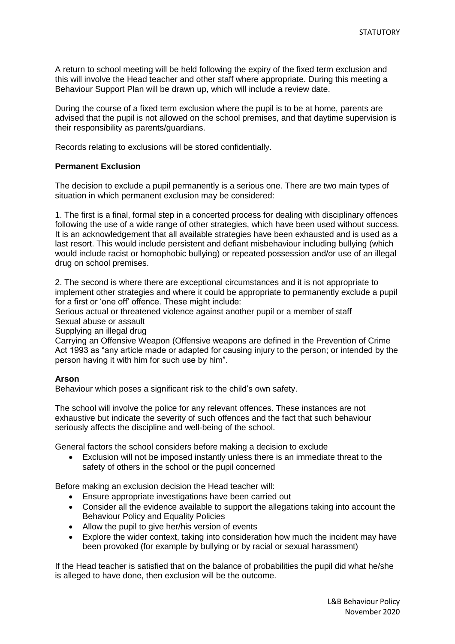A return to school meeting will be held following the expiry of the fixed term exclusion and this will involve the Head teacher and other staff where appropriate. During this meeting a Behaviour Support Plan will be drawn up, which will include a review date.

During the course of a fixed term exclusion where the pupil is to be at home, parents are advised that the pupil is not allowed on the school premises, and that daytime supervision is their responsibility as parents/guardians.

Records relating to exclusions will be stored confidentially.

## **Permanent Exclusion**

The decision to exclude a pupil permanently is a serious one. There are two main types of situation in which permanent exclusion may be considered:

1. The first is a final, formal step in a concerted process for dealing with disciplinary offences following the use of a wide range of other strategies, which have been used without success. It is an acknowledgement that all available strategies have been exhausted and is used as a last resort. This would include persistent and defiant misbehaviour including bullying (which would include racist or homophobic bullying) or repeated possession and/or use of an illegal drug on school premises.

2. The second is where there are exceptional circumstances and it is not appropriate to implement other strategies and where it could be appropriate to permanently exclude a pupil for a first or 'one off' offence. These might include:

Serious actual or threatened violence against another pupil or a member of staff Sexual abuse or assault

Supplying an illegal drug

Carrying an Offensive Weapon (Offensive weapons are defined in the Prevention of Crime Act 1993 as "any article made or adapted for causing injury to the person; or intended by the person having it with him for such use by him".

#### **Arson**

Behaviour which poses a significant risk to the child's own safety.

The school will involve the police for any relevant offences. These instances are not exhaustive but indicate the severity of such offences and the fact that such behaviour seriously affects the discipline and well-being of the school.

General factors the school considers before making a decision to exclude

 Exclusion will not be imposed instantly unless there is an immediate threat to the safety of others in the school or the pupil concerned

Before making an exclusion decision the Head teacher will:

- Ensure appropriate investigations have been carried out
- Consider all the evidence available to support the allegations taking into account the Behaviour Policy and Equality Policies
- Allow the pupil to give her/his version of events
- Explore the wider context, taking into consideration how much the incident may have been provoked (for example by bullying or by racial or sexual harassment)

If the Head teacher is satisfied that on the balance of probabilities the pupil did what he/she is alleged to have done, then exclusion will be the outcome.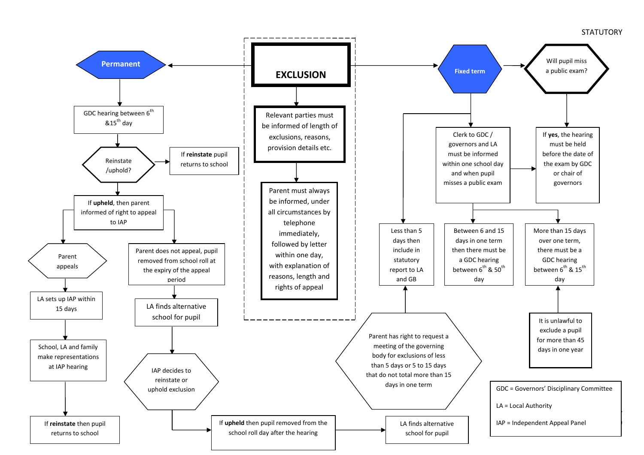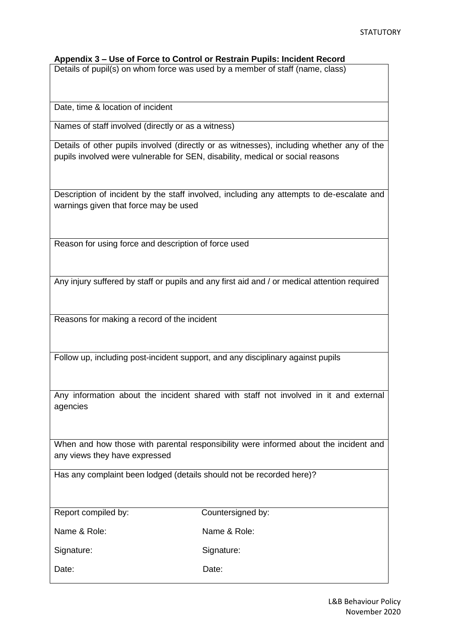## **Appendix 3 – Use of Force to Control or Restrain Pupils: Incident Record**

Details of pupil(s) on whom force was used by a member of staff (name, class)

Date, time & location of incident

Names of staff involved (directly or as a witness)

Details of other pupils involved (directly or as witnesses), including whether any of the pupils involved were vulnerable for SEN, disability, medical or social reasons

Description of incident by the staff involved, including any attempts to de-escalate and warnings given that force may be used

Reason for using force and description of force used

Any injury suffered by staff or pupils and any first aid and / or medical attention required

Reasons for making a record of the incident

Follow up, including post-incident support, and any disciplinary against pupils

Any information about the incident shared with staff not involved in it and external agencies

When and how those with parental responsibility were informed about the incident and any views they have expressed

Has any complaint been lodged (details should not be recorded here)?

Report compiled by: Countersigned by:

Name & Role: Name & Role:

Signature: Signature: Signature:

Date: Date: Date: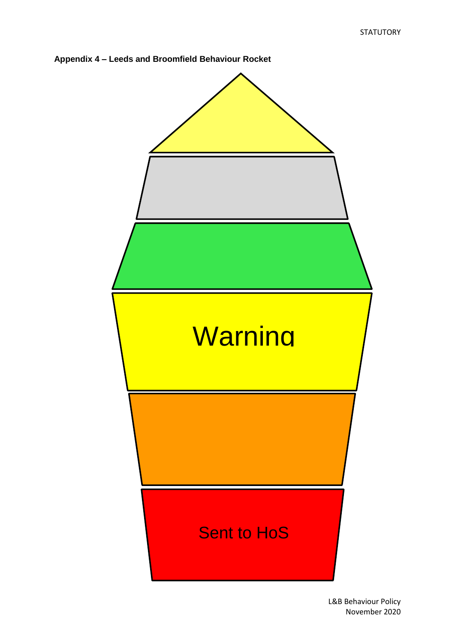

**Appendix 4 – Leeds and Broomfield Behaviour Rocket**

L&B Behaviour Policy November 2020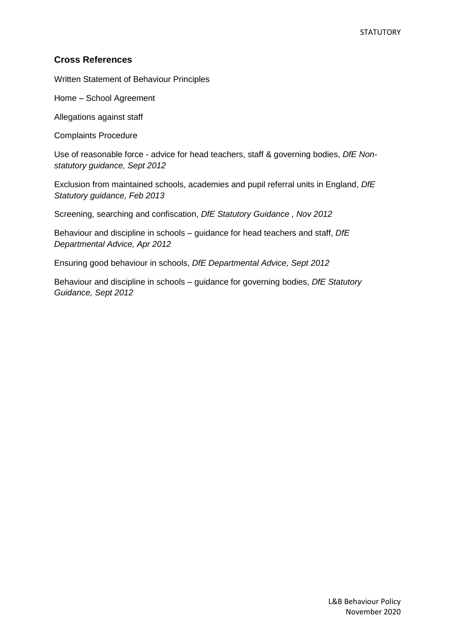## **Cross References**

Written Statement of Behaviour Principles

Home – School Agreement

Allegations against staff

Complaints Procedure

Use of reasonable force - advice for head teachers, staff & governing bodies, *DfE Nonstatutory guidance, Sept 2012*

Exclusion from maintained schools, academies and pupil referral units in England, *DfE Statutory guidance, Feb 2013*

Screening, searching and confiscation, *DfE Statutory Guidance , Nov 2012*

Behaviour and discipline in schools – guidance for head teachers and staff, *DfE Departmental Advice, Apr 2012* 

Ensuring good behaviour in schools, *DfE Departmental Advice, Sept 2012*

Behaviour and discipline in schools – guidance for governing bodies, *DfE Statutory Guidance, Sept 2012*